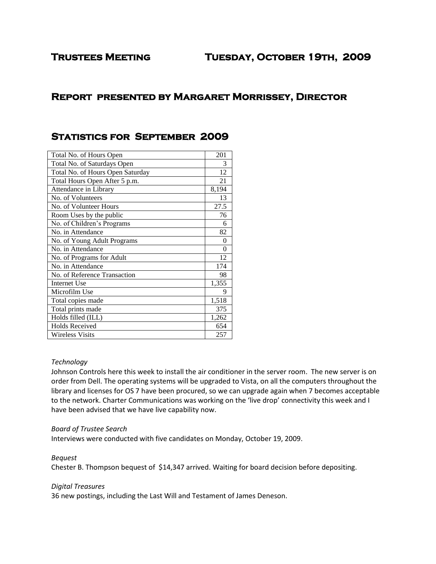## **Trustees Meeting Tuesday, October 19th, 2009**

# **Report presented by Margaret Morrissey, Director**

## **Statistics for September 2009**

| Total No. of Hours Open          | 201   |
|----------------------------------|-------|
| Total No. of Saturdays Open      | 3     |
| Total No. of Hours Open Saturday | 12    |
| Total Hours Open After 5 p.m.    | 21    |
| Attendance in Library            | 8,194 |
| No. of Volunteers                | 13    |
| No. of Volunteer Hours           | 27.5  |
| Room Uses by the public          | 76    |
| No. of Children's Programs       | 6     |
| No. in Attendance                | 82    |
| No. of Young Adult Programs      | 0     |
| No. in Attendance                | 0     |
| No. of Programs for Adult        | 12    |
| No. in Attendance                | 174   |
| No. of Reference Transaction     | 98    |
| <b>Internet Use</b>              | 1,355 |
| Microfilm Use                    | 9     |
| Total copies made                | 1,518 |
| Total prints made                | 375   |
| Holds filled (ILL)               | 1,262 |
| <b>Holds Received</b>            | 654   |
| <b>Wireless Visits</b>           | 257   |

#### *Technology*

Johnson Controls here this week to install the air conditioner in the server room. The new server is on order from Dell. The operating systems will be upgraded to Vista, on all the computers throughout the library and licenses for OS 7 have been procured, so we can upgrade again when 7 becomes acceptable to the network. Charter Communications was working on the 'live drop' connectivity this week and I have been advised that we have live capability now.

#### *Board of Trustee Search*

Interviews were conducted with five candidates on Monday, October 19, 2009.

## *Bequest*

Chester B. Thompson bequest of \$14,347 arrived. Waiting for board decision before depositing.

#### *Digital Treasures*

36 new postings, including the Last Will and Testament of James Deneson.